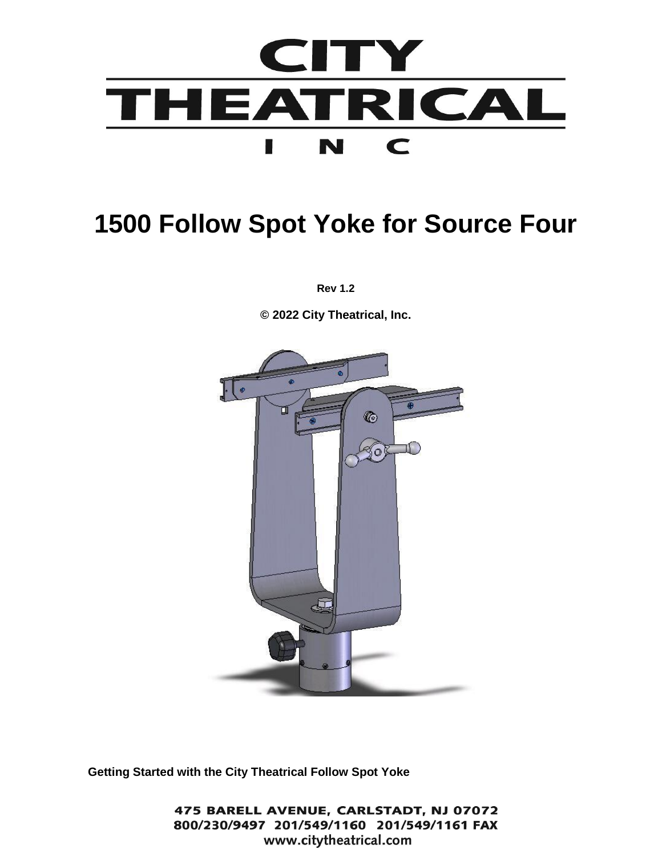

# **1500 Follow Spot Yoke for Source Four**

**Rev 1.2**

**© 2022 City Theatrical, Inc.**



**Getting Started with the City Theatrical Follow Spot Yoke**

475 BARELL AVENUE, CARLSTADT, NJ 07072 800/230/9497 201/549/1160 201/549/1161 FAX www.citytheatrical.com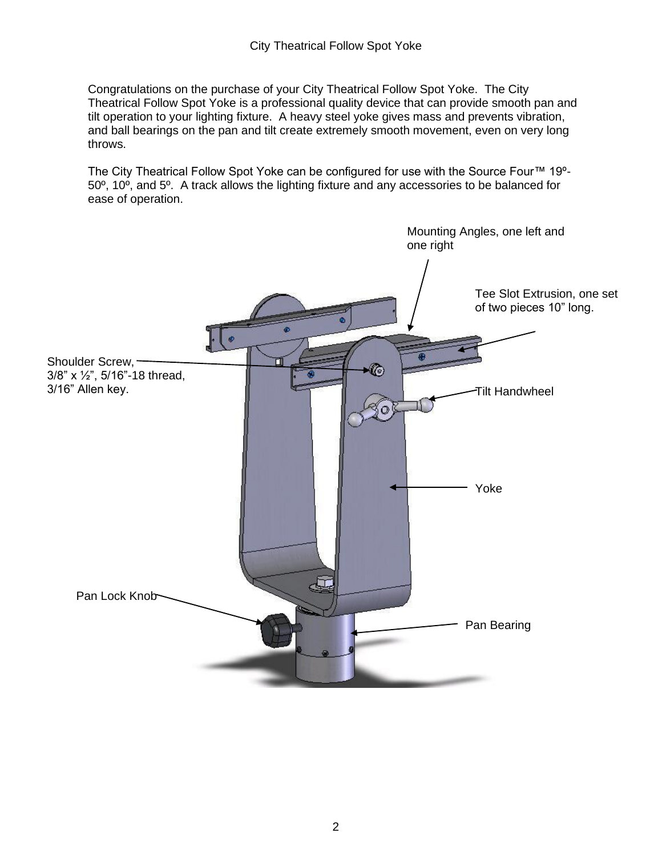Congratulations on the purchase of your City Theatrical Follow Spot Yoke. The City Theatrical Follow Spot Yoke is a professional quality device that can provide smooth pan and tilt operation to your lighting fixture. A heavy steel yoke gives mass and prevents vibration, and ball bearings on the pan and tilt create extremely smooth movement, even on very long throws.

The City Theatrical Follow Spot Yoke can be configured for use with the Source Four™ 19º-50º, 10º, and 5º. A track allows the lighting fixture and any accessories to be balanced for ease of operation.

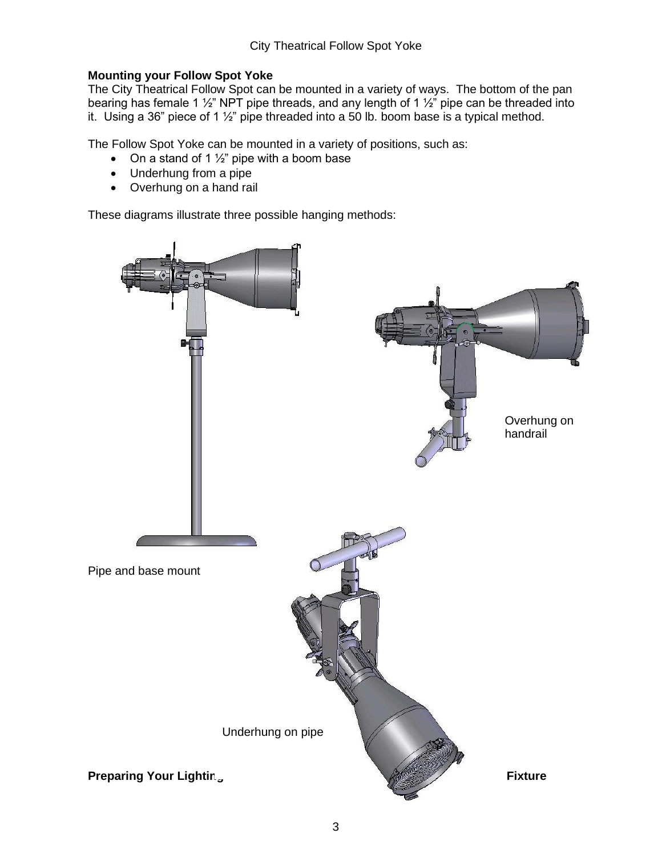# **Mounting your Follow Spot Yoke**

The City Theatrical Follow Spot can be mounted in a variety of ways. The bottom of the pan bearing has female 1  $\frac{1}{2}$ " NPT pipe threads, and any length of 1  $\frac{1}{2}$ " pipe can be threaded into it. Using a 36" piece of 1  $\frac{1}{2}$ " pipe threaded into a 50 lb. boom base is a typical method.

The Follow Spot Yoke can be mounted in a variety of positions, such as:

- On a stand of 1  $\frac{1}{2}$ " pipe with a boom base
- Underhung from a pipe
- Overhung on a hand rail

These diagrams illustrate three possible hanging methods:

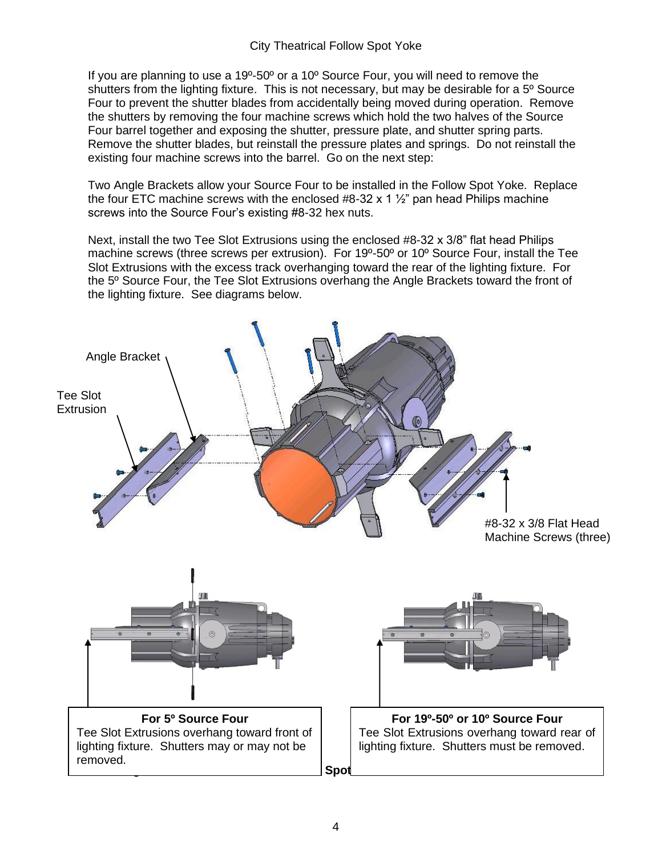If you are planning to use a 19º-50º or a 10º Source Four, you will need to remove the shutters from the lighting fixture. This is not necessary, but may be desirable for a 5° Source Four to prevent the shutter blades from accidentally being moved during operation. Remove the shutters by removing the four machine screws which hold the two halves of the Source Four barrel together and exposing the shutter, pressure plate, and shutter spring parts. Remove the shutter blades, but reinstall the pressure plates and springs. Do not reinstall the existing four machine screws into the barrel. Go on the next step:

Two Angle Brackets allow your Source Four to be installed in the Follow Spot Yoke. Replace the four ETC machine screws with the enclosed  $#8-32 \times 1 \frac{1}{2}$  pan head Philips machine screws into the Source Four's existing #8-32 hex nuts.

Next, install the two Tee Slot Extrusions using the enclosed #8-32 x 3/8" flat head Philips machine screws (three screws per extrusion). For 19º-50º or 10º Source Four, install the Tee Slot Extrusions with the excess track overhanging toward the rear of the lighting fixture. For the 5º Source Four, the Tee Slot Extrusions overhang the Angle Brackets toward the front of the lighting fixture. See diagrams below.

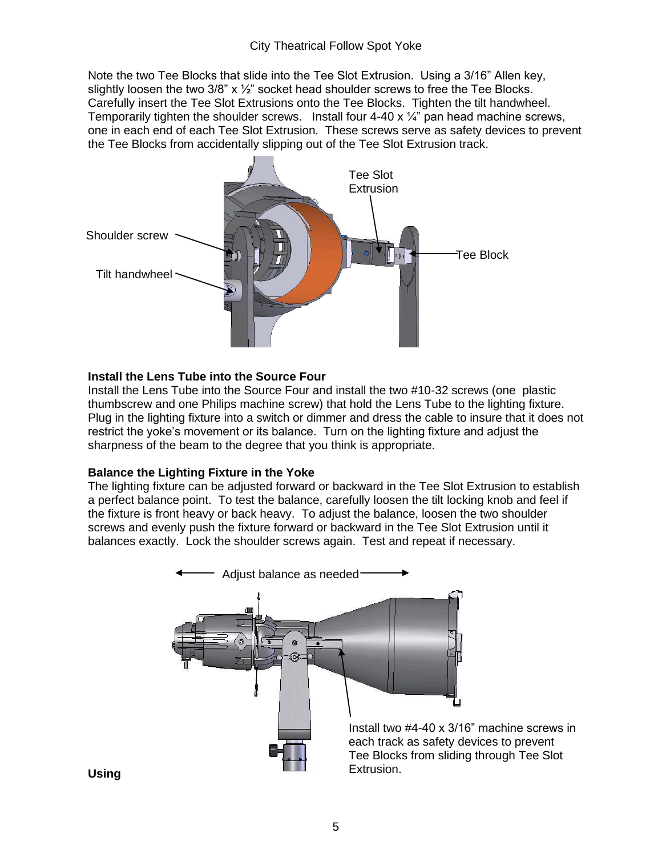## City Theatrical Follow Spot Yoke

Note the two Tee Blocks that slide into the Tee Slot Extrusion. Using a 3/16" Allen key, slightly loosen the two  $3/8$ " x  $\frac{1}{2}$ " socket head shoulder screws to free the Tee Blocks. Carefully insert the Tee Slot Extrusions onto the Tee Blocks. Tighten the tilt handwheel. Temporarily tighten the shoulder screws. Install four  $4-40 \times \frac{1}{4}$  pan head machine screws, one in each end of each Tee Slot Extrusion. These screws serve as safety devices to prevent the Tee Blocks from accidentally slipping out of the Tee Slot Extrusion track.



#### **Install the Lens Tube into the Source Four**

Install the Lens Tube into the Source Four and install the two #10-32 screws (one plastic thumbscrew and one Philips machine screw) that hold the Lens Tube to the lighting fixture. Plug in the lighting fixture into a switch or dimmer and dress the cable to insure that it does not restrict the yoke's movement or its balance. Turn on the lighting fixture and adjust the sharpness of the beam to the degree that you think is appropriate.

### **Balance the Lighting Fixture in the Yoke**

The lighting fixture can be adjusted forward or backward in the Tee Slot Extrusion to establish a perfect balance point. To test the balance, carefully loosen the tilt locking knob and feel if the fixture is front heavy or back heavy. To adjust the balance, loosen the two shoulder screws and evenly push the fixture forward or backward in the Tee Slot Extrusion until it balances exactly. Lock the shoulder screws again. Test and repeat if necessary.